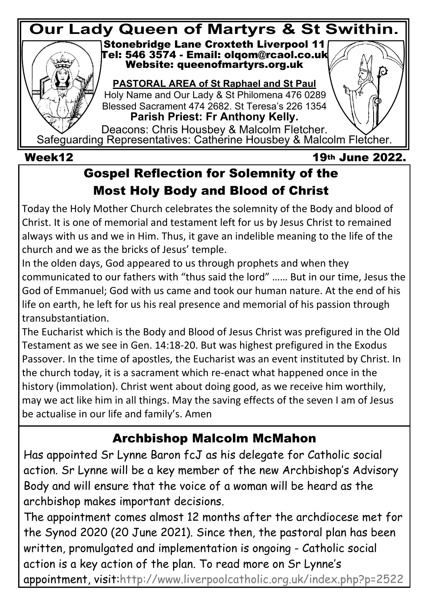

### **Gospel Reflection for Solemnity of the Most Holy Body and Blood of Christ**

Today the Holy Mother Church celebrates the solemnity of the Body and blood of Christ. It is one of memorial and testament left for us by Jesus Christ to remained always with us and we in Him. Thus, it gave an indelible meaning to the life of the church and we as the bricks of Jesus' temple.

In the olden days, God appeared to us through prophets and when they communicated to our fathers with "thus said the lord" …… But in our time, Jesus the God of Emmanuel; God with us came and took our human nature. At the end of his life on earth, he left for us his real presence and memorial of his passion through transubstantiation.

The Eucharist which is the Body and Blood of Jesus Christ was prefigured in the Old Testament as we see in Gen. 14:18-20. But was highest prefigured in the Exodus Passover. In the time of apostles, the Eucharist was an event instituted by Christ. In the church today, it is a sacrament which re-enact what happened once in the history (immolation). Christ went about doing good, as we receive him worthily, may we act like him in all things. May the saving effects of the seven I am of Jesus be actualise in our life and family's. Amen

## **Archbishop Malcolm McMahon**

Has appointed Sr Lynne Baron fcJ as his delegate for Catholic social action. Sr Lynne will be a key member of the new Archbishop's Advisory Body and will ensure that the voice of a woman will be heard as the archbishop makes important decisions.

The appointment comes almost 12 months after the archdiocese met for the Synod 2020 (20 June 2021). Since then, the pastoral plan has been written, promulgated and implementation is ongoing - Catholic social action is a key action of the plan. To read more on Sr Lynne's appointment, visit:<http://www.liverpoolcatholic.org.uk/index.php?p=2522>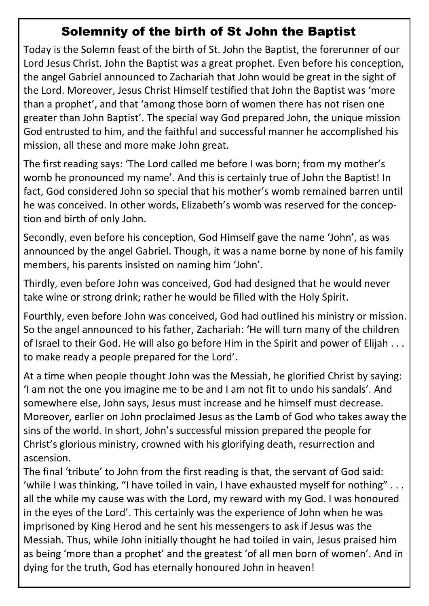#### **Solemnity of the birth of St John the Baptist**

Today is the Solemn feast of the birth of St. John the Baptist, the forerunner of our Lord Jesus Christ. John the Baptist was a great prophet. Even before his conception, the angel Gabriel announced to Zachariah that John would be great in the sight of the Lord. Moreover, Jesus Christ Himself testified that John the Baptist was 'more than a prophet', and that 'among those born of women there has not risen one greater than John Baptist'. The special way God prepared John, the unique mission God entrusted to him, and the faithful and successful manner he accomplished his mission, all these and more make John great.

The first reading says: 'The Lord called me before I was born; from my mother's womb he pronounced my name'. And this is certainly true of John the Baptist! In fact, God considered John so special that his mother's womb remained barren until he was conceived. In other words, Elizabeth's womb was reserved for the conception and birth of only John.

Secondly, even before his conception, God Himself gave the name 'John', as was announced by the angel Gabriel. Though, it was a name borne by none of his family members, his parents insisted on naming him 'John'.

Thirdly, even before John was conceived, God had designed that he would never take wine or strong drink; rather he would be filled with the Holy Spirit.

Fourthly, even before John was conceived, God had outlined his ministry or mission. So the angel announced to his father, Zachariah: 'He will turn many of the children of Israel to their God. He will also go before Him in the Spirit and power of Elijah . . . to make ready a people prepared for the Lord'.

At a time when people thought John was the Messiah, he glorified Christ by saying: 'I am not the one you imagine me to be and I am not fit to undo his sandals'. And somewhere else, John says, Jesus must increase and he himself must decrease. Moreover, earlier on John proclaimed Jesus as the Lamb of God who takes away the sins of the world. In short, John's successful mission prepared the people for Christ's glorious ministry, crowned with his glorifying death, resurrection and ascension.

The final 'tribute' to John from the first reading is that, the servant of God said: 'while I was thinking, "I have toiled in vain, I have exhausted myself for nothing" . . . all the while my cause was with the Lord, my reward with my God. I was honoured in the eyes of the Lord'. This certainly was the experience of John when he was imprisoned by King Herod and he sent his messengers to ask if Jesus was the Messiah. Thus, while John initially thought he had toiled in vain, Jesus praised him as being 'more than a prophet' and the greatest 'of all men born of women'. And in dying for the truth, God has eternally honoured John in heaven!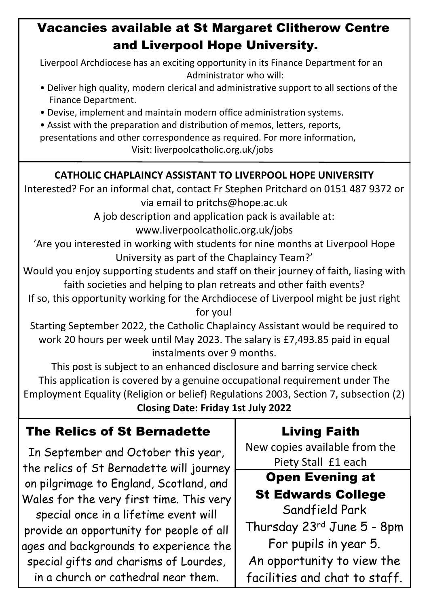### **Vacancies available at St Margaret Clitherow Centre and Liverpool Hope University.**

Liverpool Archdiocese has an exciting opportunity in its Finance Department for an Administrator who will:

- Deliver high quality, modern clerical and administrative support to all sections of the Finance Department.
- Devise, implement and maintain modern office administration systems.

• Assist with the preparation and distribution of memos, letters, reports, presentations and other correspondence as required. For more information,

Visit: liverpoolcatholic.org.uk/jobs

#### **CATHOLIC CHAPLAINCY ASSISTANT TO LIVERPOOL HOPE UNIVERSITY**

Interested? For an informal chat, contact Fr Stephen Pritchard on 0151 487 9372 or via email to pritchs@hope.ac.uk

> A job description and application pack is available at: www.liverpoolcatholic.org.uk/jobs

'Are you interested in working with students for nine months at Liverpool Hope University as part of the Chaplaincy Team?'

Would you enjoy supporting students and staff on their journey of faith, liasing with faith societies and helping to plan retreats and other faith events?

If so, this opportunity working for the Archdiocese of Liverpool might be just right for you!

Starting September 2022, the Catholic Chaplaincy Assistant would be required to work 20 hours per week until May 2023. The salary is £7,493.85 paid in equal instalments over 9 months.

This post is subject to an enhanced disclosure and barring service check This application is covered by a genuine occupational requirement under The Employment Equality (Religion or belief) Regulations 2003, Section 7, subsection (2) **Closing Date: Friday 1st July 2022**

#### **The Relics of St Bernadette Living Faith**

In September and October this year, the relics of St Bernadette will journey on pilgrimage to England, Scotland, and Wales for the very first time. This very special once in a lifetime event will provide an opportunity for people of all ages and backgrounds to experience the special gifts and charisms of Lourdes, in a church or cathedral near them.

New copies available from the Piety Stall £1 each

### **Open Evening at St Edwards College**

Sandfield Park Thursday 23rd June 5 - 8pm For pupils in year 5. An opportunity to view the facilities and chat to staff.